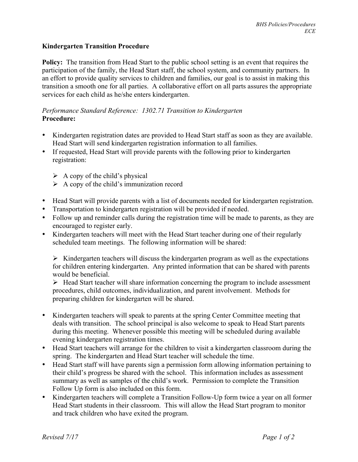## **Kindergarten Transition Procedure**

**Policy:** The transition from Head Start to the public school setting is an event that requires the participation of the family, the Head Start staff, the school system, and community partners. In an effort to provide quality services to children and families, our goal is to assist in making this transition a smooth one for all parties. A collaborative effort on all parts assures the appropriate services for each child as he/she enters kindergarten.

## *Performance Standard Reference: 1302.71 Transition to Kindergarten* **Procedure:**

- Kindergarten registration dates are provided to Head Start staff as soon as they are available. Head Start will send kindergarten registration information to all families.
- If requested, Head Start will provide parents with the following prior to kindergarten registration:
	- $\triangleright$  A copy of the child's physical
	- $\triangleright$  A copy of the child's immunization record
- Head Start will provide parents with a list of documents needed for kindergarten registration.
- Transportation to kindergarten registration will be provided if needed.
- Follow up and reminder calls during the registration time will be made to parents, as they are encouraged to register early.
- Kindergarten teachers will meet with the Head Start teacher during one of their regularly scheduled team meetings. The following information will be shared:

 $\triangleright$  Kindergarten teachers will discuss the kindergarten program as well as the expectations for children entering kindergarten. Any printed information that can be shared with parents would be beneficial.

 $\triangleright$  Head Start teacher will share information concerning the program to include assessment procedures, child outcomes, individualization, and parent involvement. Methods for preparing children for kindergarten will be shared.

- Kindergarten teachers will speak to parents at the spring Center Committee meeting that deals with transition. The school principal is also welcome to speak to Head Start parents during this meeting. Whenever possible this meeting will be scheduled during available evening kindergarten registration times.
- Head Start teachers will arrange for the children to visit a kindergarten classroom during the spring. The kindergarten and Head Start teacher will schedule the time.
- Head Start staff will have parents sign a permission form allowing information pertaining to their child's progress be shared with the school. This information includes as assessment summary as well as samples of the child's work. Permission to complete the Transition Follow Up form is also included on this form.
- Kindergarten teachers will complete a Transition Follow-Up form twice a year on all former Head Start students in their classroom. This will allow the Head Start program to monitor and track children who have exited the program.